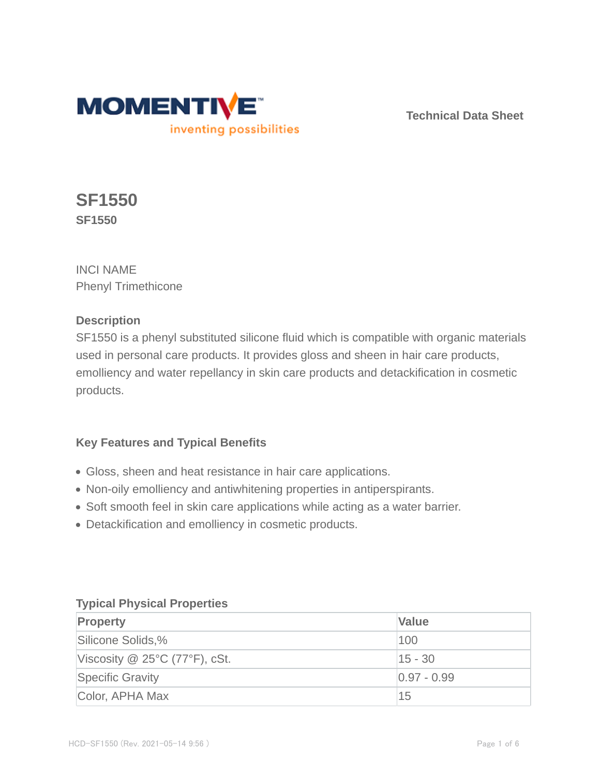

**Technical Data Sheet**

# **SF1550 SF1550**

INCI NAME Phenyl Trimethicone

## **Description**

SF1550 is a phenyl substituted silicone fluid which is compatible with organic materials used in personal care products. It provides gloss and sheen in hair care products, emolliency and water repellancy in skin care products and detackification in cosmetic products.

## **Key Features and Typical Benefits**

- Gloss, sheen and heat resistance in hair care applications.
- Non-oily emolliency and antiwhitening properties in antiperspirants.
- Soft smooth feel in skin care applications while acting as a water barrier.
- Detackification and emolliency in cosmetic products.

## **Typical Physical Properties**

| Property                             | <b>Value</b>    |
|--------------------------------------|-----------------|
| Silicone Solids,%                    | 100             |
| Viscosity $\omega$ 25°C (77°F), cSt. | $ 15 - 30 $     |
| <b>Specific Gravity</b>              | $ 0.97 - 0.99 $ |
| Color, APHA Max                      | 15              |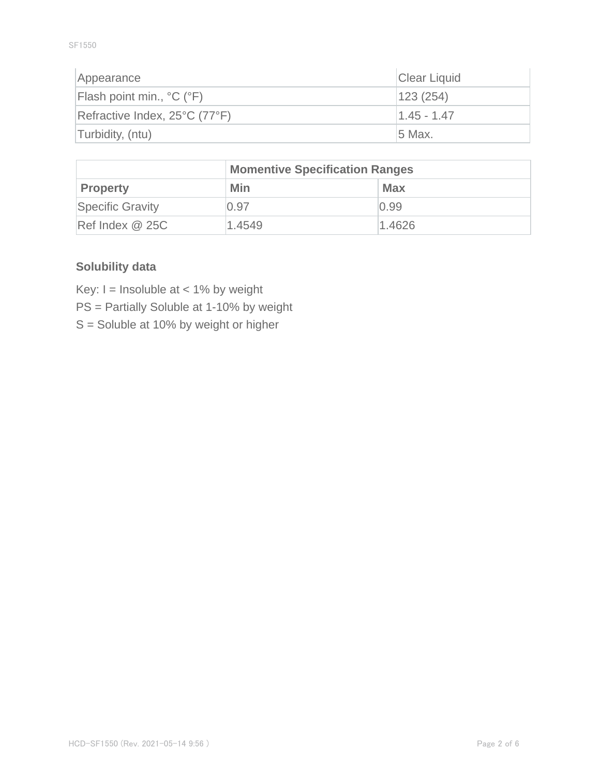SF1550

| Appearance                    | Clear Liquid  |
|-------------------------------|---------------|
| Flash point min., °C (°F)     | 123(254)      |
| Refractive Index, 25°C (77°F) | $1.45 - 1.47$ |
| Turbidity, (ntu)              | 5 Max.        |

|                  | <b>Momentive Specification Ranges</b> |            |  |
|------------------|---------------------------------------|------------|--|
| <b>Property</b>  | <b>Min</b>                            | <b>Max</b> |  |
| Specific Gravity | 0.97                                  | 0.99       |  |
| Ref Index @ 25C  | 1.4549                                | 1.4626     |  |

## **Solubility data**

Key:  $I =$  Insoluble at < 1% by weight

PS = Partially Soluble at 1-10% by weight

S = Soluble at 10% by weight or higher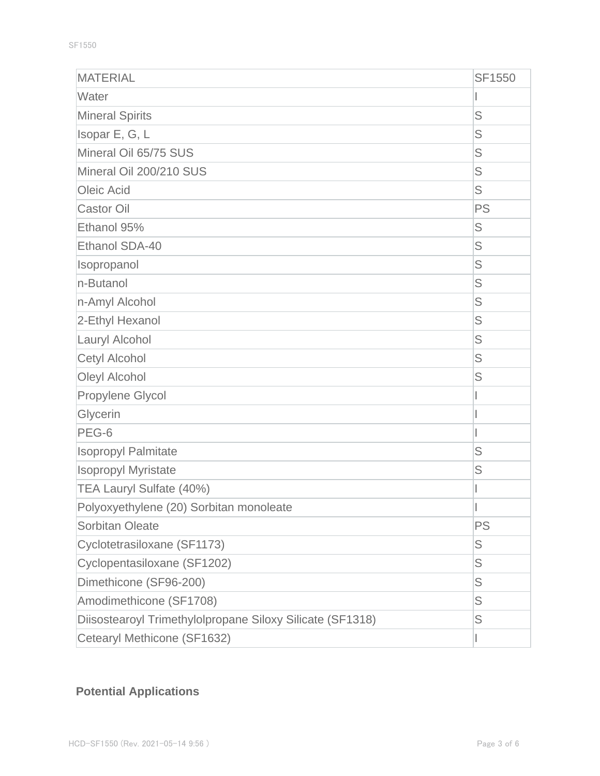| <b>MATERIAL</b>                                           | <b>SF1550</b> |
|-----------------------------------------------------------|---------------|
| Water                                                     |               |
| <b>Mineral Spirits</b>                                    | S             |
| Isopar E, G, L                                            | S             |
| Mineral Oil 65/75 SUS                                     | S             |
| Mineral Oil 200/210 SUS                                   | S             |
| Oleic Acid                                                | S             |
| <b>Castor Oil</b>                                         | <b>PS</b>     |
| Ethanol 95%                                               | S             |
| Ethanol SDA-40                                            | S             |
| Isopropanol                                               | S             |
| n-Butanol                                                 | S             |
| n-Amyl Alcohol                                            | S             |
| 2-Ethyl Hexanol                                           | S             |
| Lauryl Alcohol                                            | S             |
| Cetyl Alcohol                                             | S             |
| Oleyl Alcohol                                             | S             |
| Propylene Glycol                                          |               |
| Glycerin                                                  |               |
| PEG-6                                                     |               |
| <b>Isopropyl Palmitate</b>                                | S             |
| <b>Isopropyl Myristate</b>                                | S             |
| TEA Lauryl Sulfate (40%)                                  |               |
| Polyoxyethylene (20) Sorbitan monoleate                   |               |
| <b>Sorbitan Oleate</b>                                    | PS            |
| Cyclotetrasiloxane (SF1173)                               | S             |
| Cyclopentasiloxane (SF1202)                               | S             |
| Dimethicone (SF96-200)                                    | S             |
| Amodimethicone (SF1708)                                   | S             |
| Diisostearoyl Trimethylolpropane Siloxy Silicate (SF1318) | S             |
| Cetearyl Methicone (SF1632)                               |               |

## **Potential Applications**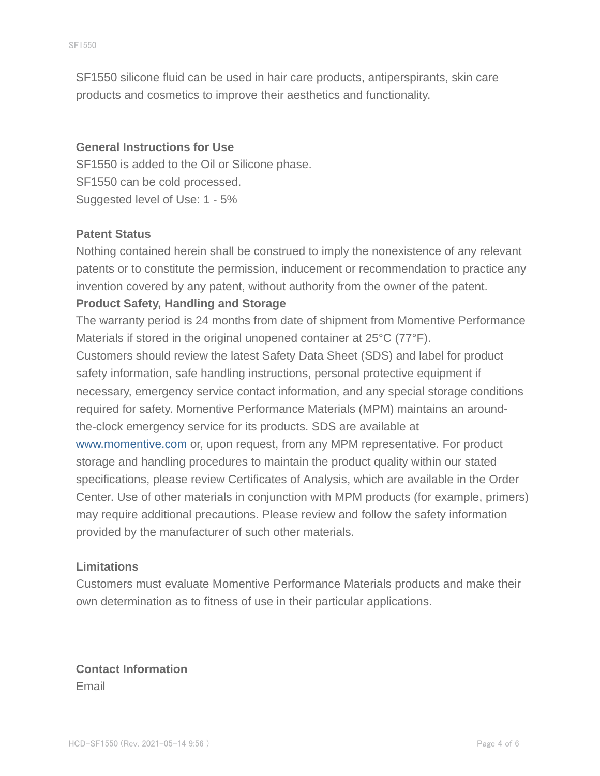SF1550 silicone fluid can be used in hair care products, antiperspirants, skin care products and cosmetics to improve their aesthetics and functionality.

#### **General Instructions for Use**

SF1550 is added to the Oil or Silicone phase. SF1550 can be cold processed. Suggested level of Use: 1 - 5%

#### **Patent Status**

Nothing contained herein shall be construed to imply the nonexistence of any relevant patents or to constitute the permission, inducement or recommendation to practice any invention covered by any patent, without authority from the owner of the patent.

#### **Product Safety, Handling and Storage**

The warranty period is 24 months from date of shipment from Momentive Performance Materials if stored in the original unopened container at 25°C (77°F).

Customers should review the latest Safety Data Sheet (SDS) and label for product safety information, safe handling instructions, personal protective equipment if necessary, emergency service contact information, and any special storage conditions required for safety. Momentive Performance Materials (MPM) maintains an aroundthe-clock emergency service for its products. SDS are available at

www.momentive.com or, upon request, from any MPM representative. For product storage and handling procedures to maintain the product quality within our stated specifications, please review Certificates of Analysis, which are available in the Order Center. Use of other materials in conjunction with MPM products (for example, primers) may require additional precautions. Please review and follow the safety information provided by the manufacturer of such other materials.

#### **Limitations**

Customers must evaluate Momentive Performance Materials products and make their own determination as to fitness of use in their particular applications.

**Contact Information** Email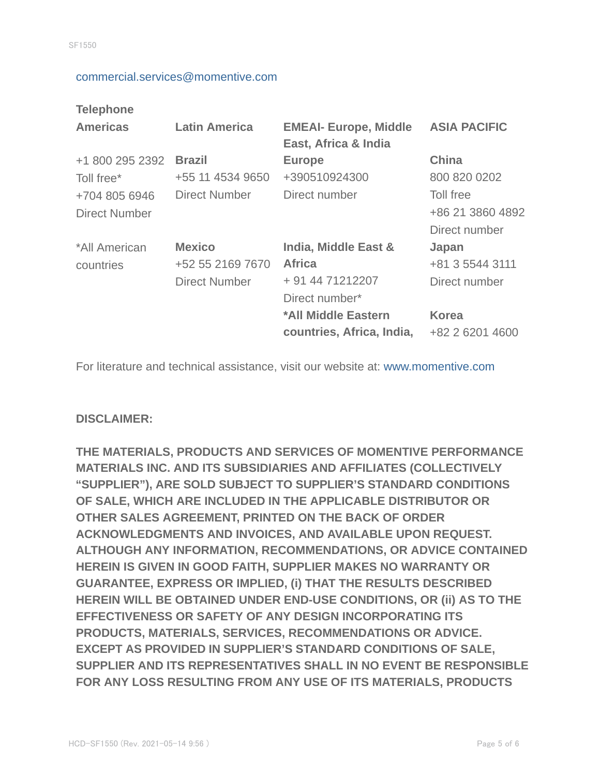#### commercial.services@momentive.com

#### **Telephone**

| <b>Americas</b>      | <b>Latin America</b> | <b>EMEAI- Europe, Middle</b><br>East, Africa & India | <b>ASIA PACIFIC</b> |
|----------------------|----------------------|------------------------------------------------------|---------------------|
| +1 800 295 2392      | <b>Brazil</b>        | <b>Europe</b>                                        | <b>China</b>        |
| Toll free*           | +55 11 4534 9650     | +390510924300                                        | 800 820 0202        |
| +704 805 6946        | Direct Number        | Direct number                                        | Toll free           |
| <b>Direct Number</b> |                      |                                                      | +86 21 3860 4892    |
|                      |                      |                                                      | Direct number       |
| *All American        | <b>Mexico</b>        | India, Middle East &                                 | Japan               |
| countries            | +52 55 2169 7670     | <b>Africa</b>                                        | +81 3 5544 3111     |
|                      | <b>Direct Number</b> | + 91 44 71212207                                     | Direct number       |
|                      |                      | Direct number*                                       |                     |
|                      |                      | *All Middle Eastern                                  | <b>Korea</b>        |
|                      |                      | countries, Africa, India,                            | +82 2 6201 4600     |

For literature and technical assistance, visit our website at: www.momentive.com

#### **DISCLAIMER:**

**THE MATERIALS, PRODUCTS AND SERVICES OF MOMENTIVE PERFORMANCE MATERIALS INC. AND ITS SUBSIDIARIES AND AFFILIATES (COLLECTIVELY "SUPPLIER"), ARE SOLD SUBJECT TO SUPPLIER'S STANDARD CONDITIONS OF SALE, WHICH ARE INCLUDED IN THE APPLICABLE DISTRIBUTOR OR OTHER SALES AGREEMENT, PRINTED ON THE BACK OF ORDER ACKNOWLEDGMENTS AND INVOICES, AND AVAILABLE UPON REQUEST. ALTHOUGH ANY INFORMATION, RECOMMENDATIONS, OR ADVICE CONTAINED HEREIN IS GIVEN IN GOOD FAITH, SUPPLIER MAKES NO WARRANTY OR GUARANTEE, EXPRESS OR IMPLIED, (i) THAT THE RESULTS DESCRIBED HEREIN WILL BE OBTAINED UNDER END-USE CONDITIONS, OR (ii) AS TO THE EFFECTIVENESS OR SAFETY OF ANY DESIGN INCORPORATING ITS PRODUCTS, MATERIALS, SERVICES, RECOMMENDATIONS OR ADVICE. EXCEPT AS PROVIDED IN SUPPLIER'S STANDARD CONDITIONS OF SALE, SUPPLIER AND ITS REPRESENTATIVES SHALL IN NO EVENT BE RESPONSIBLE FOR ANY LOSS RESULTING FROM ANY USE OF ITS MATERIALS, PRODUCTS**